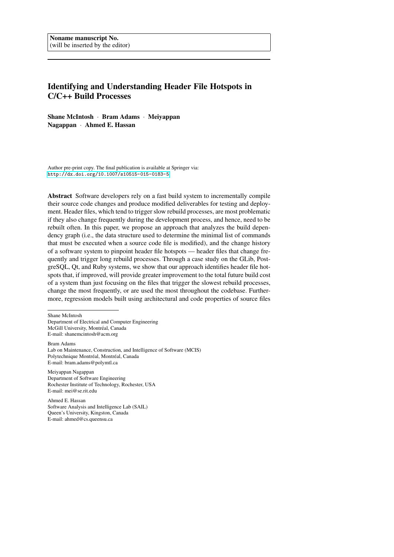# Identifying and Understanding Header File Hotspots in C/C++ Build Processes

Shane McIntosh · Bram Adams · Meiyappan Nagappan · Ahmed E. Hassan

Author pre-print copy. The final publication is available at Springer via: <http://dx.doi.org/10.1007/s10515-015-0183-5>

Abstract Software developers rely on a fast build system to incrementally compile their source code changes and produce modified deliverables for testing and deployment. Header files, which tend to trigger slow rebuild processes, are most problematic if they also change frequently during the development process, and hence, need to be rebuilt often. In this paper, we propose an approach that analyzes the build dependency graph (i.e., the data structure used to determine the minimal list of commands that must be executed when a source code file is modified), and the change history of a software system to pinpoint header file hotspots — header files that change frequently and trigger long rebuild processes. Through a case study on the GLib, PostgreSQL, Qt, and Ruby systems, we show that our approach identifies header file hotspots that, if improved, will provide greater improvement to the total future build cost of a system than just focusing on the files that trigger the slowest rebuild processes, change the most frequently, or are used the most throughout the codebase. Furthermore, regression models built using architectural and code properties of source files

Shane McIntosh

Department of Electrical and Computer Engineering McGill University, Montréal, Canada E-mail: shanemcintosh@acm.org

Bram Adams Lab on Maintenance, Construction, and Intelligence of Software (MCIS) Polytechnique Montréal, Montréal, Canada E-mail: bram.adams@polymtl.ca

Meiyappan Nagappan Department of Software Engineering Rochester Institute of Technology, Rochester, USA E-mail: mei@se.rit.edu

Ahmed E. Hassan Software Analysis and Intelligence Lab (SAIL) Queen's University, Kingston, Canada E-mail: ahmed@cs.queensu.ca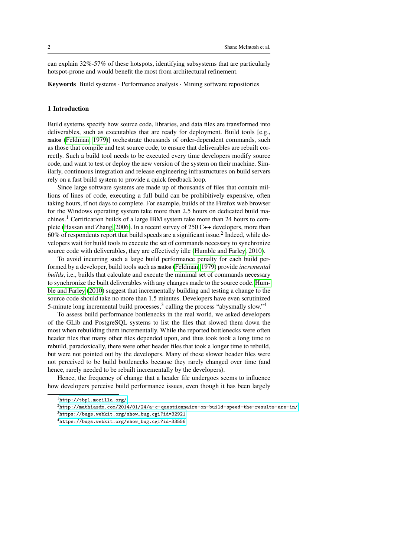can explain 32%-57% of these hotspots, identifying subsystems that are particularly hotspot-prone and would benefit the most from architectural refinement.

Keywords Build systems · Performance analysis · Mining software repositories

### 1 Introduction

Build systems specify how source code, libraries, and data files are transformed into deliverables, such as executables that are ready for deployment. Build tools [e.g., make [\(Feldman, 1979\)](#page-27-0)] orchestrate thousands of order-dependent commands, such as those that compile and test source code, to ensure that deliverables are rebuilt correctly. Such a build tool needs to be executed every time developers modify source code, and want to test or deploy the new version of the system on their machine. Similarly, continuous integration and release engineering infrastructures on build servers rely on a fast build system to provide a quick feedback loop.

Since large software systems are made up of thousands of files that contain millions of lines of code, executing a full build can be prohibitively expensive, often taking hours, if not days to complete. For example, builds of the Firefox web browser for the Windows operating system take more than 2.5 hours on dedicated build machines.<sup>1</sup> Certification builds of a large IBM system take more than 24 hours to complete [\(Hassan and Zhang, 2006\)](#page-27-1). In a recent survey of 250 C++ developers, more than  $60\%$  of respondents report that build speeds are a significant issue.<sup>2</sup> Indeed, while developers wait for build tools to execute the set of commands necessary to synchronize source code with deliverables, they are effectively idle [\(Humble and Farley, 2010\)](#page-27-2).

To avoid incurring such a large build performance penalty for each build performed by a developer, build tools such as make [\(Feldman, 1979\)](#page-27-0) provide *incremental builds*, i.e., builds that calculate and execute the minimal set of commands necessary to synchronize the built deliverables with any changes made to the source code. [Hum](#page-27-2)[ble and Farley](#page-27-2) [\(2010\)](#page-27-2) suggest that incrementally building and testing a change to the source code should take no more than 1.5 minutes. Developers have even scrutinized 5-minute long incremental build processes,<sup>3</sup> calling the process "abysmally slow."<sup>4</sup>

To assess build performance bottlenecks in the real world, we asked developers of the GLib and PostgreSQL systems to list the files that slowed them down the most when rebuilding them incrementally. While the reported bottlenecks were often header files that many other files depended upon, and thus took took a long time to rebuild, paradoxically, there were other header files that took a longer time to rebuild, but were not pointed out by the developers. Many of these slower header files were not perceived to be build bottlenecks because they rarely changed over time (and hence, rarely needed to be rebuilt incrementally by the developers).

Hence, the frequency of change that a header file undergoes seems to influence how developers perceive build performance issues, even though it has been largely

<sup>1</sup><http://tbpl.mozilla.org/>

 $2$ <http://mathiasdm.com/2014/01/24/a-c-questionnaire-on-build-speed-the-results-are-in/>

<sup>3</sup>[https://bugs.webkit.org/show\\_bug.cgi?id=32921](https://bugs.webkit.org/show_bug.cgi?id=32921)

<sup>4</sup>[https://bugs.webkit.org/show\\_bug.cgi?id=33556](https://bugs.webkit.org/show_bug.cgi?id=33556)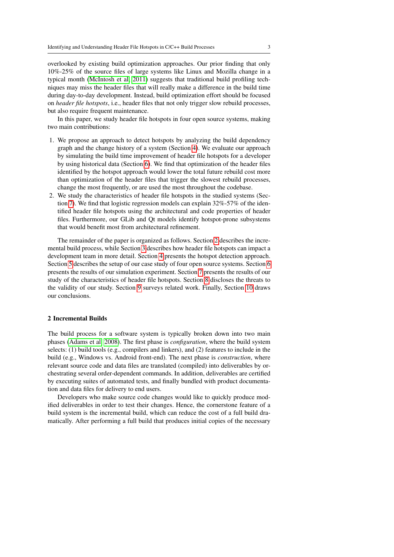overlooked by existing build optimization approaches. Our prior finding that only 10%-25% of the source files of large systems like Linux and Mozilla change in a typical month [\(McIntosh et al, 2011\)](#page-27-3) suggests that traditional build profiling techniques may miss the header files that will really make a difference in the build time during day-to-day development. Instead, build optimization effort should be focused on *header file hotspots*, i.e., header files that not only trigger slow rebuild processes, but also require frequent maintenance.

In this paper, we study header file hotspots in four open source systems, making two main contributions:

- 1. We propose an approach to detect hotspots by analyzing the build dependency graph and the change history of a system (Section [4\)](#page-5-0). We evaluate our approach by simulating the build time improvement of header file hotspots for a developer by using historical data (Section [6\)](#page-13-0). We find that optimization of the header files identified by the hotspot approach would lower the total future rebuild cost more than optimization of the header files that trigger the slowest rebuild processes, change the most frequently, or are used the most throughout the codebase.
- 2. We study the characteristics of header file hotspots in the studied systems (Section [7\)](#page-17-0). We find that logistic regression models can explain 32%-57% of the identified header file hotspots using the architectural and code properties of header files. Furthermore, our GLib and Qt models identify hotspot-prone subsystems that would benefit most from architectural refinement.

The remainder of the paper is organized as follows. Section [2](#page-2-0) describes the incremental build process, while Section [3](#page-3-0) describes how header file hotspots can impact a development team in more detail. Section [4](#page-5-0) presents the hotspot detection approach. Section [5](#page-7-0) describes the setup of our case study of four open source systems. Section [6](#page-13-0) presents the results of our simulation experiment. Section [7](#page-17-0) presents the results of our study of the characteristics of header file hotspots. Section [8](#page-22-0) discloses the threats to the validity of our study. Section [9](#page-24-0) surveys related work. Finally, Section [10](#page-26-0) draws our conclusions.

#### <span id="page-2-0"></span>2 Incremental Builds

The build process for a software system is typically broken down into two main phases [\(Adams et al, 2008\)](#page-26-1). The first phase is *configuration*, where the build system selects: (1) build tools (e.g., compilers and linkers), and (2) features to include in the build (e.g., Windows vs. Android front-end). The next phase is *construction*, where relevant source code and data files are translated (compiled) into deliverables by orchestrating several order-dependent commands. In addition, deliverables are certified by executing suites of automated tests, and finally bundled with product documentation and data files for delivery to end users.

Developers who make source code changes would like to quickly produce modified deliverables in order to test their changes. Hence, the cornerstone feature of a build system is the incremental build, which can reduce the cost of a full build dramatically. After performing a full build that produces initial copies of the necessary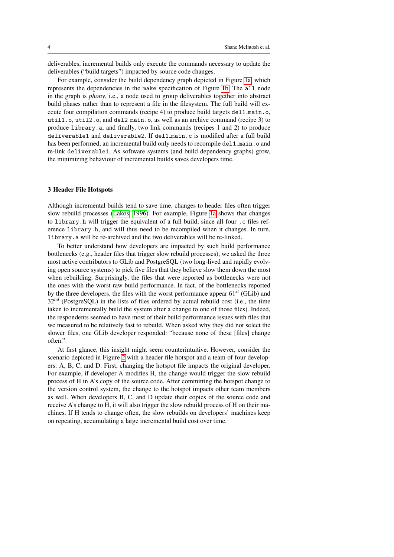deliverables, incremental builds only execute the commands necessary to update the deliverables ("build targets") impacted by source code changes.

For example, consider the build dependency graph depicted in Figure [1a,](#page-4-0) which represents the dependencies in the make specification of Figure [1b.](#page-4-1) The all node in the graph is *phony*, i.e., a node used to group deliverables together into abstract build phases rather than to represent a file in the filesystem. The full build will execute four compilation commands (recipe 4) to produce build targets del1 main.o, util1.o, util2.o, and del2 main.o, as well as an archive command (recipe 3) to produce library.a, and finally, two link commands (recipes 1 and 2) to produce deliverable1 and deliverable2. If del1 main.c is modified after a full build has been performed, an incremental build only needs to recompile dell\_main.o and re-link deliverable1. As software systems (and build dependency graphs) grow, the minimizing behaviour of incremental builds saves developers time.

### <span id="page-3-0"></span>3 Header File Hotspots

Although incremental builds tend to save time, changes to header files often trigger slow rebuild processes [\(Lakos, 1996\)](#page-27-4). For example, Figure [1a](#page-4-0) shows that changes to library.h will trigger the equivalent of a full build, since all four .c files reference library.h, and will thus need to be recompiled when it changes. In turn, library.a will be re-archived and the two deliverables will be re-linked.

To better understand how developers are impacted by such build performance bottlenecks (e.g., header files that trigger slow rebuild processes), we asked the three most active contributors to GLib and PostgreSQL (two long-lived and rapidly evolving open source systems) to pick five files that they believe slow them down the most when rebuilding. Surprisingly, the files that were reported as bottlenecks were not the ones with the worst raw build performance. In fact, of the bottlenecks reported by the three developers, the files with the worst performance appear 61*st* (GLib) and 32<sup>nd</sup> (PostgreSQL) in the lists of files ordered by actual rebuild cost (i.e., the time taken to incrementally build the system after a change to one of those files). Indeed, the respondents seemed to have most of their build performance issues with files that we measured to be relatively fast to rebuild. When asked why they did not select the slower files, one GLib developer responded: "because none of these [files] change often."

At first glance, this insight might seem counterintuitive. However, consider the scenario depicted in Figure [2](#page-5-1) with a header file hotspot and a team of four developers: A, B, C, and D. First, changing the hotspot file impacts the original developer. For example, if developer A modifies H, the change would trigger the slow rebuild process of H in A's copy of the source code. After committing the hotspot change to the version control system, the change to the hotspot impacts other team members as well. When developers B, C, and D update their copies of the source code and receive A's change to H, it will also trigger the slow rebuild process of H on their machines. If H tends to change often, the slow rebuilds on developers' machines keep on repeating, accumulating a large incremental build cost over time.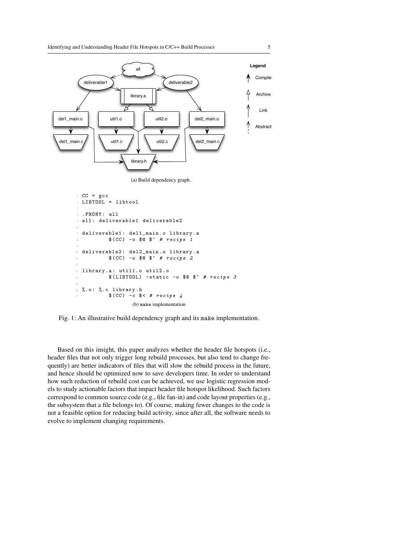<span id="page-4-0"></span>

(a) Build dependency graph.

```
1 CC = gcc
2 LIBTOOL = libtool
  . PHONY: all
  all: deliverable1 deliverable2
 6
7 deliverable1 : del1_main .o library .a
           $ (CC) -o $0 $^{\circ} # recipe 1\overline{9}10 deliverable2: del2_main.o library.a
11 $(CC) -o $0 \$^{\circ} # recipe 2
12
13 library .a: util1 .o util2 .o
\text{14} $(LIBTOOL) -static -o $@ $^ # recipe 3
15
16 %. o: %. c library . h
17 $ (CC) -c $ <  # receive 4(b) make implementation
```
Fig. 1: An illustrative build dependency graph and its make implementation.

Based on this insight, this paper analyzes whether the header file hotspots (i.e., header files that not only trigger long rebuild processes, but also tend to change frequently) are better indicators of files that will slow the rebuild process in the future, and hence should be optimized now to save developers time. In order to understand how such reduction of rebuild cost can be achieved, we use logistic regression models to study actionable factors that impact header file hotspot likelihood. Such factors correspond to common source code (e.g., file fan-in) and code layout properties (e.g., the subsystem that a file belongs to). Of course, making fewer changes to the code is not a feasible option for reducing build activity, since after all, the software needs to evolve to implement changing requirements.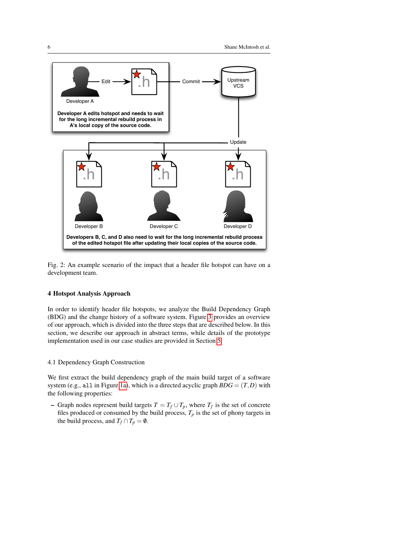<span id="page-5-1"></span>

Fig. 2: An example scenario of the impact that a header file hotspot can have on a development team.

### <span id="page-5-0"></span>4 Hotspot Analysis Approach

In order to identify header file hotspots, we analyze the Build Dependency Graph (BDG) and the change history of a software system. Figure [3](#page-6-0) provides an overview of our approach, which is divided into the three steps that are described below. In this section, we describe our approach in abstract terms, while details of the prototype implementation used in our case studies are provided in Section [5.](#page-7-0)

#### 4.1 Dependency Graph Construction

We first extract the build dependency graph of the main build target of a software system (e.g., all in Figure [1a\)](#page-4-0), which is a directed acyclic graph  $BDG = (T,D)$  with the following properties:

− Graph nodes represent build targets  $T = T_f \cup T_p$ , where  $T_f$  is the set of concrete files produced or consumed by the build process,  $T_p$  is the set of phony targets in the build process, and  $T_f \cap T_p = \emptyset$ .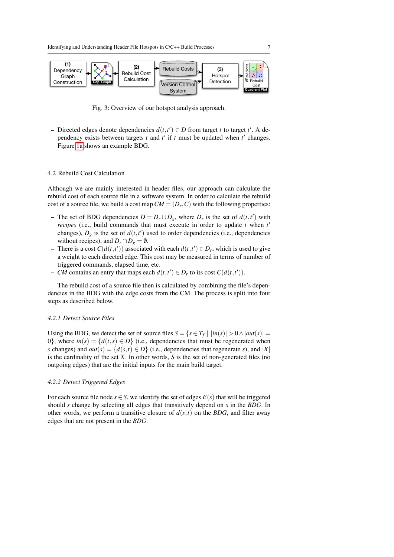<span id="page-6-0"></span>

Fig. 3: Overview of our hotspot analysis approach.

− Directed edges denote dependencies  $d(t, t') \in D$  from target *t* to target *t'*. A dependency exists between targets  $t$  and  $t'$  if  $t$  must be updated when  $t'$  changes. Figure [1a](#page-4-0) shows an example BDG.

### <span id="page-6-1"></span>4.2 Rebuild Cost Calculation

Although we are mainly interested in header files, our approach can calculate the rebuild cost of each source file in a software system. In order to calculate the rebuild cost of a source file, we build a cost map  $CM = (D_r, C)$  with the following properties:

- The set of BDG dependencies  $D = D_r \cup D_g$ , where  $D_r$  is the set of  $d(t, t')$  with *recipes* (i.e., build commands that must execute in order to update *t* when *t* 0 changes),  $D_g$  is the set of  $d(t, t')$  used to order dependencies (i.e., dependencies without recipes), and  $D_r \cap D_g = \emptyset$ .
- There is a cost  $C(d(t,t'))$  associated with each  $d(t,t') \in D_r$ , which is used to give a weight to each directed edge. This cost may be measured in terms of number of triggered commands, elapsed time, etc.
- − *CM* contains an entry that maps each  $d(t, t') \in D_r$  to its cost  $C(d(t, t'))$ .

The rebuild cost of a source file then is calculated by combining the file's dependencies in the BDG with the edge costs from the CM. The process is split into four steps as described below.

#### *4.2.1 Detect Source Files*

Using the BDG, we detect the set of source files  $S = \{s \in T_f \mid |in(s)| > 0 \land |out(s)| = 1\}$ 0}, where  $in(s) = \{d(t, s) \in D\}$  (i.e., dependencies that must be regenerated when *s* changes) and  $out(s) = \{d(s,t) \in D\}$  (i.e., dependencies that regenerate *s*), and |*X*| is the cardinality of the set *X*. In other words, *S* is the set of non-generated files (no outgoing edges) that are the initial inputs for the main build target.

### *4.2.2 Detect Triggered Edges*

For each source file node  $s \in S$ , we identify the set of edges  $E(s)$  that will be triggered should *s* change by selecting all edges that transitively depend on *s* in the *BDG*. In other words, we perform a transitive closure of  $d(s,t)$  on the *BDG*, and filter away edges that are not present in the *BDG*.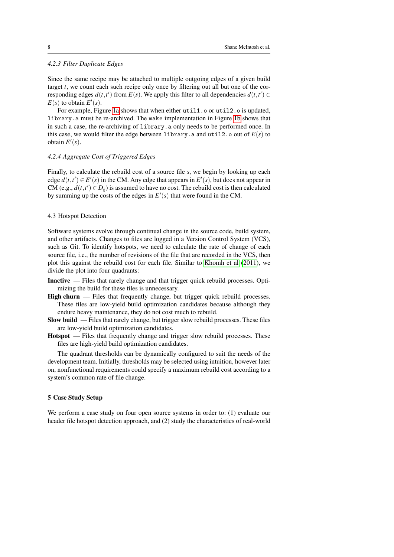# *4.2.3 Filter Duplicate Edges*

Since the same recipe may be attached to multiple outgoing edges of a given build target *t*, we count each such recipe only once by filtering out all but one of the corresponding edges  $d(t, t')$  from  $E(s)$ . We apply this filter to all dependencies  $d(t, t') \in$  $E(s)$  to obtain  $E'(s)$ .

For example, Figure [1a](#page-4-0) shows that when either util1.o or util2.o is updated, library.a must be re-archived. The make implementation in Figure [1b](#page-4-1) shows that in such a case, the re-archiving of library.a only needs to be performed once. In this case, we would filter the edge between library.a and util2.o out of  $E(s)$  to obtain  $E'(s)$ .

### *4.2.4 Aggregate Cost of Triggered Edges*

Finally, to calculate the rebuild cost of a source file *s*, we begin by looking up each edge  $d(t, t') \in E'(s)$  in the CM. Any edge that appears in  $E'(s)$ , but does not appear in CM (e.g.,  $d(t, t') \in D_g$ ) is assumed to have no cost. The rebuild cost is then calculated by summing up the costs of the edges in  $E'(s)$  that were found in the CM.

#### 4.3 Hotspot Detection

Software systems evolve through continual change in the source code, build system, and other artifacts. Changes to files are logged in a Version Control System (VCS), such as Git. To identify hotspots, we need to calculate the rate of change of each source file, i.e., the number of revisions of the file that are recorded in the VCS, then plot this against the rebuild cost for each file. Similar to [Khomh et al](#page-27-5) [\(2011\)](#page-27-5), we divide the plot into four quadrants:

- Inactive Files that rarely change and that trigger quick rebuild processes. Optimizing the build for these files is unnecessary.
- High churn Files that frequently change, but trigger quick rebuild processes. These files are low-yield build optimization candidates because although they endure heavy maintenance, they do not cost much to rebuild.
- Slow build Files that rarely change, but trigger slow rebuild processes. These files are low-yield build optimization candidates.
- Hotspot Files that frequently change and trigger slow rebuild processes. These files are high-yield build optimization candidates.

The quadrant thresholds can be dynamically configured to suit the needs of the development team. Initially, thresholds may be selected using intuition, however later on, nonfunctional requirements could specify a maximum rebuild cost according to a system's common rate of file change.

### <span id="page-7-0"></span>5 Case Study Setup

We perform a case study on four open source systems in order to: (1) evaluate our header file hotspot detection approach, and (2) study the characteristics of real-world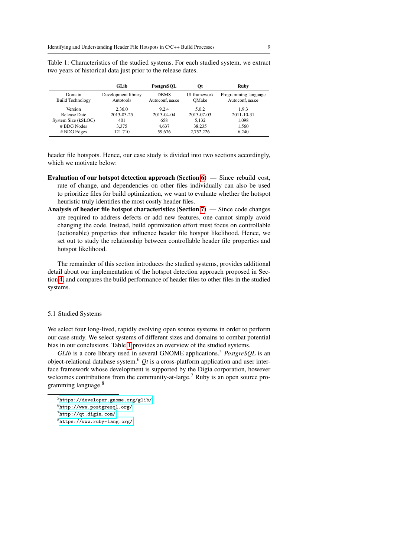|                         | GLib                | PostgreSOL     | Qt                  | Ruby                 |
|-------------------------|---------------------|----------------|---------------------|----------------------|
| Domain                  | Development library | <b>DBMS</b>    | <b>UI</b> framework | Programming language |
| <b>Build Technology</b> | Autotools           | Autoconf, make | OMake               | Autoconf, make       |
| Version                 | 2.36.0              | 9.2.4          | 5.0.2               | 1.9.3                |
| Release Date            | 2013-03-25          | 2013-04-04     | 2013-07-03          | 2011-10-31           |
| System Size (kSLOC)     | 401                 | 658            | 5.132               | 1.098                |
| # BDG Nodes             | 3.375               | 4.637          | 38.235              | 1,560                |
| # BDG Edges             | 121.710             | 59,676         | 2,752,226           | 6.240                |

<span id="page-8-0"></span>Table 1: Characteristics of the studied systems. For each studied system, we extract two years of historical data just prior to the release dates.

header file hotspots. Hence, our case study is divided into two sections accordingly, which we motivate below:

- Evaluation of our hotspot detection approach (Section  $6$ ) Since rebuild cost, rate of change, and dependencies on other files individually can also be used to prioritize files for build optimization, we want to evaluate whether the hotspot heuristic truly identifies the most costly header files.
- Analysis of header file hotspot characteristics (Section [7\)](#page-17-0) Since code changes are required to address defects or add new features, one cannot simply avoid changing the code. Instead, build optimization effort must focus on controllable (actionable) properties that influence header file hotspot likelihood. Hence, we set out to study the relationship between controllable header file properties and hotspot likelihood.

The remainder of this section introduces the studied systems, provides additional detail about our implementation of the hotspot detection approach proposed in Section [4,](#page-5-0) and compares the build performance of header files to other files in the studied systems.

### 5.1 Studied Systems

We select four long-lived, rapidly evolving open source systems in order to perform our case study. We select systems of different sizes and domains to combat potential bias in our conclusions. Table [1](#page-8-0) provides an overview of the studied systems.

*GLib* is a core library used in several GNOME applications.<sup>5</sup> *PostgreSQL* is an object-relational database system.<sup>6</sup> *Qt* is a cross-platform application and user interface framework whose development is supported by the Digia corporation, however welcomes contributions from the community-at-large.<sup>7</sup> Ruby is an open source programming language.<sup>8</sup>

 ${\rm^5}$  <https://developer.gnome.org/glib/>

<sup>6</sup><http://www.postgresql.org/>

 $7$ <http://qt.digia.com/>

<sup>8</sup><https://www.ruby-lang.org/>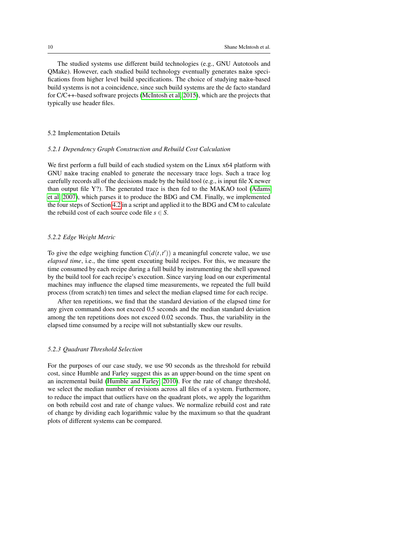The studied systems use different build technologies (e.g., GNU Autotools and QMake). However, each studied build technology eventually generates make specifications from higher level build specifications. The choice of studying make-based build systems is not a coincidence, since such build systems are the de facto standard for C/C++-based software projects [\(McIntosh et al, 2015\)](#page-27-6), which are the projects that typically use header files.

### 5.2 Implementation Details

#### *5.2.1 Dependency Graph Construction and Rebuild Cost Calculation*

We first perform a full build of each studied system on the Linux x64 platform with GNU make tracing enabled to generate the necessary trace logs. Such a trace log carefully records all of the decisions made by the build tool (e.g., is input file X newer than output file Y?). The generated trace is then fed to the MAKAO tool [\(Adams](#page-26-2) [et al, 2007\)](#page-26-2), which parses it to produce the BDG and CM. Finally, we implemented the four steps of Section [4.2](#page-6-1) in a script and applied it to the BDG and CM to calculate the rebuild cost of each source code file  $s \in S$ .

### *5.2.2 Edge Weight Metric*

To give the edge weighing function  $C(d(t, t'))$  a meaningful concrete value, we use *elapsed time*, i.e., the time spent executing build recipes. For this, we measure the time consumed by each recipe during a full build by instrumenting the shell spawned by the build tool for each recipe's execution. Since varying load on our experimental machines may influence the elapsed time measurements, we repeated the full build process (from scratch) ten times and select the median elapsed time for each recipe.

After ten repetitions, we find that the standard deviation of the elapsed time for any given command does not exceed 0.5 seconds and the median standard deviation among the ten repetitions does not exceed 0.02 seconds. Thus, the variability in the elapsed time consumed by a recipe will not substantially skew our results.

#### *5.2.3 Quadrant Threshold Selection*

For the purposes of our case study, we use 90 seconds as the threshold for rebuild cost, since Humble and Farley suggest this as an upper-bound on the time spent on an incremental build [\(Humble and Farley, 2010\)](#page-27-2). For the rate of change threshold, we select the median number of revisions across all files of a system. Furthermore, to reduce the impact that outliers have on the quadrant plots, we apply the logarithm on both rebuild cost and rate of change values. We normalize rebuild cost and rate of change by dividing each logarithmic value by the maximum so that the quadrant plots of different systems can be compared.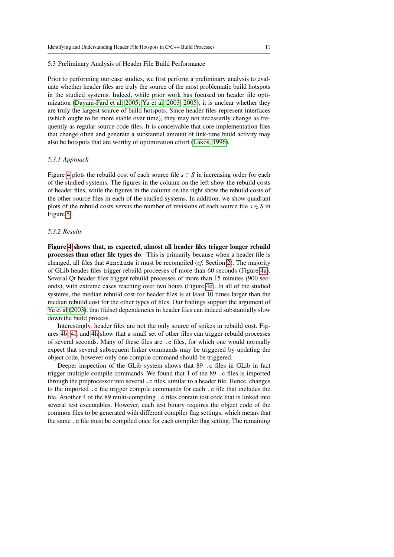#### 5.3 Preliminary Analysis of Header File Build Performance

Prior to performing our case studies, we first perform a preliminary analysis to evaluate whether header files are truly the source of the most problematic build hotspots in the studied systems. Indeed, while prior work has focused on header file optimization [\(Dayani-Fard et al, 2005;](#page-26-3) [Yu et al, 2003,](#page-28-0) [2005\)](#page-28-1), it is unclear whether they are truly the largest source of build hotspots. Since header files represent interfaces (which ought to be more stable over time), they may not necessarily change as frequently as regular source code files. It is conceivable that core implementation files that change often and generate a substantial amount of link-time build activity may also be hotspots that are worthy of optimization effort [\(Lakos, 1996\)](#page-27-4).

### *5.3.1 Approach*

Figure [4](#page-11-0) plots the rebuild cost of each source file  $s \in S$  in increasing order for each of the studied systems. The figures in the column on the left show the rebuild costs of header files, while the figures in the column on the right show the rebuild costs of the other source files in each of the studied systems. In addition, we show quadrant plots of the rebuild costs versus the number of revisions of each source file  $s \in S$  in Figure [5.](#page-12-0)

#### *5.3.2 Results*

Figure [4](#page-11-0) shows that, as expected, almost all header files trigger longer rebuild processes than other file types do. This is primarily because when a header file is changed, all files that #include it must be recompiled (*cf.* Section [2\)](#page-2-0). The majority of GLib header files trigger rebuild proceeses of more than 60 seconds (Figure [4a\)](#page-11-1). Several Qt header files trigger rebuild processes of more than 15 minutes (900 seconds), with extreme cases reaching over two hours (Figure [4e\)](#page-11-2). In all of the studied systems, the median rebuild cost for header files is at least 10 times larger than the median rebuild cost for the other types of files. Our findings support the argument of [Yu et al](#page-28-0) [\(2003\)](#page-28-0), that (false) dependencies in header files can indeed substantially slow down the build process.

Interestingly, header files are not the only source of spikes in rebuild cost. Figures [4b,](#page-11-3) [4f,](#page-11-4) and [4h](#page-11-5) show that a small set of other files can trigger rebuild processes of several seconds. Many of these files are .c files, for which one would normally expect that several subsequent linker commands may be triggered by updating the object code, however only one compile command should be triggered.

Deeper inspection of the GLib system shows that 89 .c files in GLib in fact trigger multiple compile commands. We found that 1 of the 89 .c files is imported through the preprocessor into several .c files, similar to a header file. Hence, changes to the imported .c file trigger compile commands for each .c file that includes the file. Another 4 of the 89 multi-compiling .c files contain test code that is linked into several test executables. However, each test binary requires the object code of the common files to be generated with different compiler flag settings, which means that the same .c file must be compiled once for each compiler flag setting. The remaining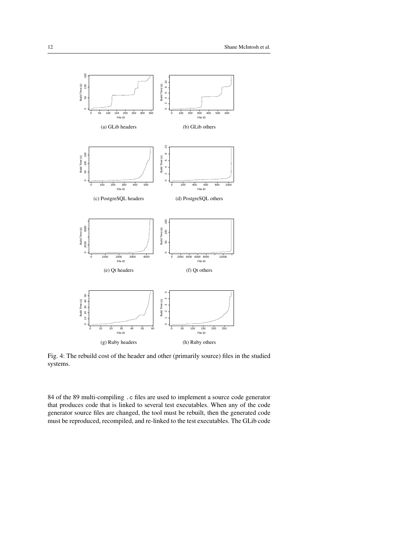<span id="page-11-3"></span><span id="page-11-1"></span><span id="page-11-0"></span>

<span id="page-11-6"></span><span id="page-11-5"></span><span id="page-11-4"></span><span id="page-11-2"></span>Fig. 4: The rebuild cost of the header and other (primarily source) files in the studied systems.

84 of the 89 multi-compiling .c files are used to implement a source code generator that produces code that is linked to several test executables. When any of the code generator source files are changed, the tool must be rebuilt, then the generated code must be reproduced, recompiled, and re-linked to the test executables. The GLib code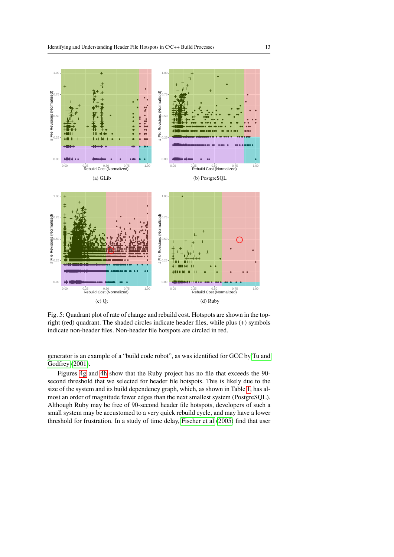<span id="page-12-0"></span>

Fig. 5: Quadrant plot of rate of change and rebuild cost. Hotspots are shown in the topright (red) quadrant. The shaded circles indicate header files, while plus (+) symbols indicate non-header files. Non-header file hotspots are circled in red.

generator is an example of a "build code robot", as was identified for GCC by [Tu and](#page-28-2) [Godfrey](#page-28-2) [\(2001\)](#page-28-2).

Figures [4g](#page-11-6) and [4h](#page-11-5) show that the Ruby project has no file that exceeds the 90 second threshold that we selected for header file hotspots. This is likely due to the size of the system and its build dependency graph, which, as shown in Table [1,](#page-8-0) has almost an order of magnitude fewer edges than the next smallest system (PostgreSQL). Although Ruby may be free of 90-second header file hotspots, developers of such a small system may be accustomed to a very quick rebuild cycle, and may have a lower threshold for frustration. In a study of time delay, [Fischer et al](#page-27-7) [\(2005\)](#page-27-7) find that user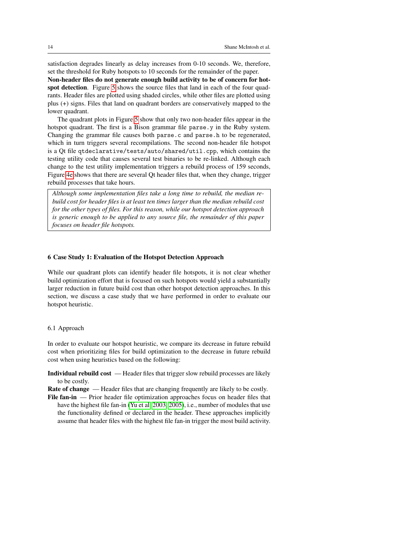satisfaction degrades linearly as delay increases from 0-10 seconds. We, therefore, set the threshold for Ruby hotspots to 10 seconds for the remainder of the paper.

Non-header files do not generate enough build activity to be of concern for hot-spot detection. Figure [5](#page-12-0) shows the source files that land in each of the four quadrants. Header files are plotted using shaded circles, while other files are plotted using plus (+) signs. Files that land on quadrant borders are conservatively mapped to the lower quadrant.

The quadrant plots in Figure [5](#page-12-0) show that only two non-header files appear in the hotspot quadrant. The first is a Bison grammar file parse.y in the Ruby system. Changing the grammar file causes both parse.c and parse.h to be regenerated, which in turn triggers several recompilations. The second non-header file hotspot is a Qt file qtdeclarative/tests/auto/shared/util.cpp, which contains the testing utility code that causes several test binaries to be re-linked. Although each change to the test utility implementation triggers a rebuild process of 159 seconds, Figure [4e](#page-11-2) shows that there are several Qt header files that, when they change, trigger rebuild processes that take hours.

*Although some implementation files take a long time to rebuild, the median rebuild cost for header files is at least ten times larger than the median rebuild cost for the other types of files. For this reason, while our hotspot detection approach is generic enough to be applied to any source file, the remainder of this paper focuses on header file hotspots.*

### <span id="page-13-0"></span>6 Case Study 1: Evaluation of the Hotspot Detection Approach

While our quadrant plots can identify header file hotspots, it is not clear whether build optimization effort that is focused on such hotspots would yield a substantially larger reduction in future build cost than other hotspot detection approaches. In this section, we discuss a case study that we have performed in order to evaluate our hotspot heuristic.

### 6.1 Approach

In order to evaluate our hotspot heuristic, we compare its decrease in future rebuild cost when prioritizing files for build optimization to the decrease in future rebuild cost when using heuristics based on the following:

Individual rebuild cost — Header files that trigger slow rebuild processes are likely to be costly.

Rate of change — Header files that are changing frequently are likely to be costly. File fan-in — Prior header file optimization approaches focus on header files that have the highest file fan-in [\(Yu et al, 2003,](#page-28-0) [2005\)](#page-28-1), i.e., number of modules that use the functionality defined or declared in the header. These approaches implicitly assume that header files with the highest file fan-in trigger the most build activity.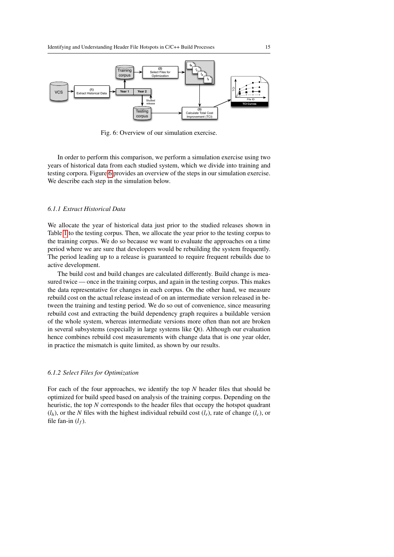<span id="page-14-0"></span>

Fig. 6: Overview of our simulation exercise.

In order to perform this comparison, we perform a simulation exercise using two years of historical data from each studied system, which we divide into training and testing corpora. Figure [6](#page-14-0) provides an overview of the steps in our simulation exercise. We describe each step in the simulation below.

# *6.1.1 Extract Historical Data*

We allocate the year of historical data just prior to the studied releases shown in Table [1](#page-8-0) to the testing corpus. Then, we allocate the year prior to the testing corpus to the training corpus. We do so because we want to evaluate the approaches on a time period where we are sure that developers would be rebuilding the system frequently. The period leading up to a release is guaranteed to require frequent rebuilds due to active development.

The build cost and build changes are calculated differently. Build change is measured twice — once in the training corpus, and again in the testing corpus. This makes the data representative for changes in each corpus. On the other hand, we measure rebuild cost on the actual release instead of on an intermediate version released in between the training and testing period. We do so out of convenience, since measuring rebuild cost and extracting the build dependency graph requires a buildable version of the whole system, whereas intermediate versions more often than not are broken in several subsystems (especially in large systems like Qt). Although our evaluation hence combines rebuild cost measurements with change data that is one year older, in practice the mismatch is quite limited, as shown by our results.

### *6.1.2 Select Files for Optimization*

For each of the four approaches, we identify the top *N* header files that should be optimized for build speed based on analysis of the training corpus. Depending on the heuristic, the top *N* corresponds to the header files that occupy the hotspot quadrant  $(l_h)$ , or the *N* files with the highest individual rebuild cost  $(l_r)$ , rate of change  $(l_c)$ , or file fan-in  $(l_f)$ .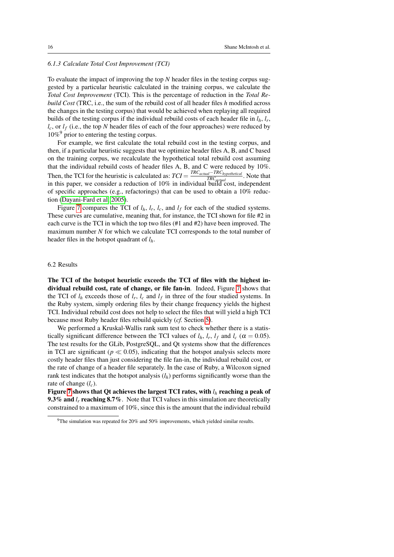### *6.1.3 Calculate Total Cost Improvement (TCI)*

To evaluate the impact of improving the top *N* header files in the testing corpus suggested by a particular heuristic calculated in the training corpus, we calculate the *Total Cost Improvement* (TCI). This is the percentage of reduction in the *Total Rebuild Cost* (TRC, i.e., the sum of the rebuild cost of all header files *h* modified across the changes in the testing corpus) that would be achieved when replaying all required builds of the testing corpus if the individual rebuild costs of each header file in  $l_h$ ,  $l_r$ ,  $l_c$ , or  $l_f$  (i.e., the top *N* header files of each of the four approaches) were reduced by  $10\%$ <sup>9</sup> prior to entering the testing corpus.

For example, we first calculate the total rebuild cost in the testing corpus, and then, if a particular heuristic suggests that we optimize header files A, B, and C based on the training corpus, we recalculate the hypothetical total rebuild cost assuming that the individual rebuild costs of header files A, B, and C were reduced by 10%. Then, the TCI for the heuristic is calculated as:  $TCI = \frac{TRC_{actual} - TRC_{hypothetical}}{TRC_{old}}$ *TRC*<sub>actual</sub> Mote that in this paper, we consider a reduction of 10% in individual build cost, independent of specific approaches (e.g., refactorings) that can be used to obtain a 10% reduction [\(Dayani-Fard et al, 2005\)](#page-26-3).

Figure [7](#page-16-0) compares the TCI of  $l_h$ ,  $l_r$ ,  $l_c$ , and  $l_f$  for each of the studied systems. These curves are cumulative, meaning that, for instance, the TCI shown for file #2 in each curve is the TCI in which the top two files (#1 and #2) have been improved. The maximum number *N* for which we calculate TCI corresponds to the total number of header files in the hotspot quadrant of *lh*.

### 6.2 Results

The TCI of the hotspot heuristic exceeds the TCI of files with the highest individual rebuild cost, rate of change, or file fan-in. Indeed, Figure [7](#page-16-0) shows that the TCI of  $l_h$  exceeds those of  $l_r$ ,  $l_c$  and  $l_f$  in three of the four studied systems. In the Ruby system, simply ordering files by their change frequency yields the highest TCI. Individual rebuild cost does not help to select the files that will yield a high TCI because most Ruby header files rebuild quickly (*cf.* Section [5\)](#page-7-0).

We performed a Kruskal-Wallis rank sum test to check whether there is a statistically significant difference between the TCI values of  $l_h$ ,  $l_r$ ,  $l_f$  and  $l_c$  ( $\alpha = 0.05$ ). The test results for the GLib, PostgreSQL, and Qt systems show that the differences in TCI are significant ( $p \ll 0.05$ ), indicating that the hotspot analysis selects more costly header files than just considering the file fan-in, the individual rebuild cost, or the rate of change of a header file separately. In the case of Ruby, a Wilcoxon signed rank test indicates that the hotspot analysis  $(l_h)$  performs significantly worse than the rate of change (*lc*).

Figure [7](#page-16-0) shows that Qt achieves the largest TCI rates, with *l<sup>h</sup>* reaching a peak of 9.3% and *l<sub>r</sub>* reaching 8.7%. Note that TCI values in this simulation are theoretically constrained to a maximum of 10%, since this is the amount that the individual rebuild

 $9$ The simulation was repeated for 20% and 50% improvements, which yielded similar results.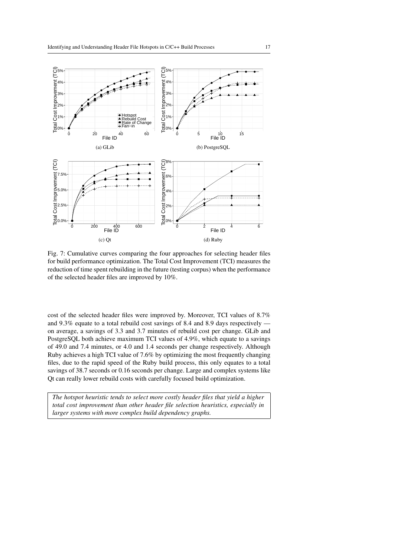<span id="page-16-0"></span>

Fig. 7: Cumulative curves comparing the four approaches for selecting header files for build performance optimization. The Total Cost Improvement (TCI) measures the reduction of time spent rebuilding in the future (testing corpus) when the performance of the selected header files are improved by 10%.

cost of the selected header files were improved by. Moreover, TCI values of 8.7% and 9.3% equate to a total rebuild cost savings of 8.4 and 8.9 days respectively on average, a savings of 3.3 and 3.7 minutes of rebuild cost per change. GLib and PostgreSQL both achieve maximum TCI values of 4.9%, which equate to a savings of 49.0 and 7.4 minutes, or 4.0 and 1.4 seconds per change respectively. Although Ruby achieves a high TCI value of 7.6% by optimizing the most frequently changing files, due to the rapid speed of the Ruby build process, this only equates to a total savings of 38.7 seconds or 0.16 seconds per change. Large and complex systems like Qt can really lower rebuild costs with carefully focused build optimization.

*The hotspot heuristic tends to select more costly header files that yield a higher total cost improvement than other header file selection heuristics, especially in larger systems with more complex build dependency graphs.*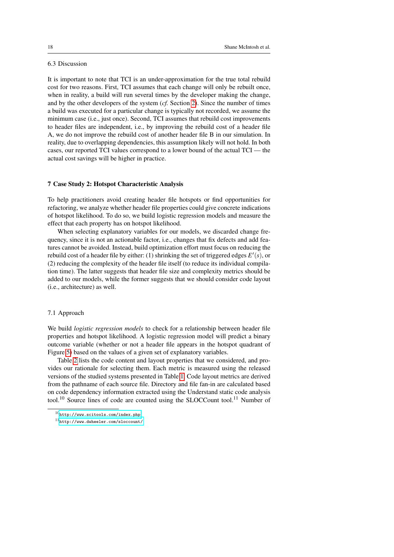# 6.3 Discussion

It is important to note that TCI is an under-approximation for the true total rebuild cost for two reasons. First, TCI assumes that each change will only be rebuilt once, when in reality, a build will run several times by the developer making the change, and by the other developers of the system (*cf.* Section [2\)](#page-2-0). Since the number of times a build was executed for a particular change is typically not recorded, we assume the minimum case (i.e., just once). Second, TCI assumes that rebuild cost improvements to header files are independent, i.e., by improving the rebuild cost of a header file A, we do not improve the rebuild cost of another header file B in our simulation. In reality, due to overlapping dependencies, this assumption likely will not hold. In both cases, our reported TCI values correspond to a lower bound of the actual TCI — the actual cost savings will be higher in practice.

### <span id="page-17-0"></span>7 Case Study 2: Hotspot Characteristic Analysis

To help practitioners avoid creating header file hotspots or find opportunities for refactoring, we analyze whether header file properties could give concrete indications of hotspot likelihood. To do so, we build logistic regression models and measure the effect that each property has on hotspot likelihood.

When selecting explanatory variables for our models, we discarded change frequency, since it is not an actionable factor, i.e., changes that fix defects and add features cannot be avoided. Instead, build optimization effort must focus on reducing the rebuild cost of a header file by either: (1) shrinking the set of triggered edges  $E'(s)$ , or (2) reducing the complexity of the header file itself (to reduce its individual compilation time). The latter suggests that header file size and complexity metrics should be added to our models, while the former suggests that we should consider code layout (i.e., architecture) as well.

#### 7.1 Approach

We build *logistic regression models* to check for a relationship between header file properties and hotspot likelihood. A logistic regression model will predict a binary outcome variable (whether or not a header file appears in the hotspot quadrant of Figure [5\)](#page-12-0) based on the values of a given set of explanatory variables.

Table [2](#page-18-0) lists the code content and layout properties that we considered, and provides our rationale for selecting them. Each metric is measured using the released versions of the studied systems presented in Table [1.](#page-8-0) Code layout metrics are derived from the pathname of each source file. Directory and file fan-in are calculated based on code dependency information extracted using the Understand static code analysis tool.<sup>10</sup> Source lines of code are counted using the SLOCCount tool.<sup>11</sup> Number of

<sup>10</sup><http://www.scitools.com/index.php>

<sup>11</sup><http://www.dwheeler.com/sloccount/>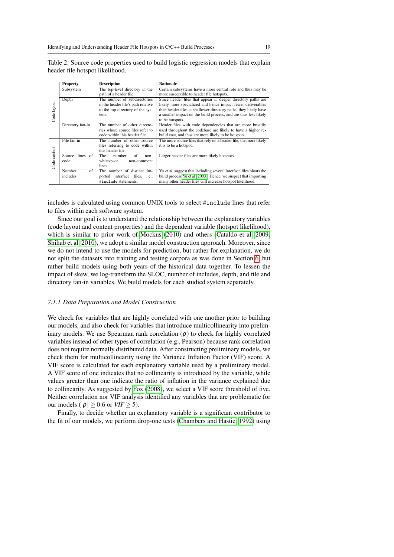|              | Property           | <b>Description</b>                    | <b>Rationale</b>                                                    |  |  |
|--------------|--------------------|---------------------------------------|---------------------------------------------------------------------|--|--|
| Subsystem    |                    | The top-level directory in the        | Certain subsystems have a more central role and thus may be         |  |  |
|              |                    | path of a header file.                | more susceptible to header file hotspots.                           |  |  |
|              | Depth              | The number of subdirectories          | Since header files that appear in deeper directory paths are        |  |  |
|              |                    | in the header file's path relative    | likely more specialized and hence impact fewer deliverables         |  |  |
|              |                    | to the top directory of the sys-      | than header files at shallower directory paths, they likely have    |  |  |
| Code layout  |                    | tem.                                  | a smaller impact on the build process, and are thus less likely     |  |  |
|              |                    |                                       | to be hotspots.                                                     |  |  |
|              | Directory fan-in   | The number of other directo-          | Header files with code dependencies that are more broadly           |  |  |
|              |                    | ries whose source files refer to      | used throughout the codebase are likely to have a higher re-        |  |  |
|              |                    | code within this header file.         | build cost, and thus are more likely to be hotspots.                |  |  |
|              | File fan-in        | The number of other source            | The more source files that rely on a header file, the more likely   |  |  |
|              |                    | files referring to code within        | it is to be a hotspot.                                              |  |  |
|              |                    | this header file.                     |                                                                     |  |  |
| Code content | lines of<br>Source | number<br>The<br>of<br>non-           | Larger header files are more likely hotspots.                       |  |  |
|              | code               | whitespace,<br>non-comment            |                                                                     |  |  |
|              |                    | lines.                                |                                                                     |  |  |
|              | Number<br>of       | The number of distinct im-            | Yu et al. suggest that including several interface files bloats the |  |  |
|              | includes           | ported interface files, <i>i.e.</i> , | build process Yu et al (2003). Hence, we suspect that importing     |  |  |
|              |                    | #include statements.                  | many other header files will increase hotspot likelihood.           |  |  |

<span id="page-18-0"></span>Table 2: Source code properties used to build logistic regression models that explain header file hotspot likelihood.

includes is calculated using common UNIX tools to select #include lines that refer to files within each software system.

Since our goal is to understand the relationship between the explanatory variables (code layout and content properties) and the dependent variable (hotspot likelihood), which is similar to prior work of [Mockus](#page-27-8) [\(2010\)](#page-27-8) and others [\(Cataldo et al, 2009;](#page-26-4) [Shihab et al, 2010\)](#page-28-3), we adopt a similar model construction approach. Moreover, since we do not intend to use the models for prediction, but rather for explanation, we do not split the datasets into training and testing corpora as was done in Section [6,](#page-13-0) but rather build models using both years of the historical data together. To lessen the impact of skew, we log-transform the SLOC, number of includes, depth, and file and directory fan-in variables. We build models for each studied system separately.

#### *7.1.1 Data Preparation and Model Construction*

We check for variables that are highly correlated with one another prior to building our models, and also check for variables that introduce multicollinearity into preliminary models. We use Spearman rank correlation  $(\rho)$  to check for highly correlated variables instead of other types of correlation (e.g., Pearson) because rank correlation does not require normally distributed data. After constructing preliminary models, we check them for multicollinearity using the Variance Inflation Factor (VIF) score. A VIF score is calculated for each explanatory variable used by a preliminary model. A VIF score of one indicates that no collinearity is introduced by the variable, while values greater than one indicate the ratio of inflation in the variance explained due to collinearity. As suggested by [Fox](#page-27-9) [\(2008\)](#page-27-9), we select a VIF score threshold of five. Neither correlation nor VIF analysis identified any variables that are problematic for our models ( $|\rho| \ge 0.6$  or *VIF*  $\ge 5$ ).

Finally, to decide whether an explanatory variable is a significant contributor to the fit of our models, we perform drop-one tests [\(Chambers and Hastie, 1992\)](#page-26-5) using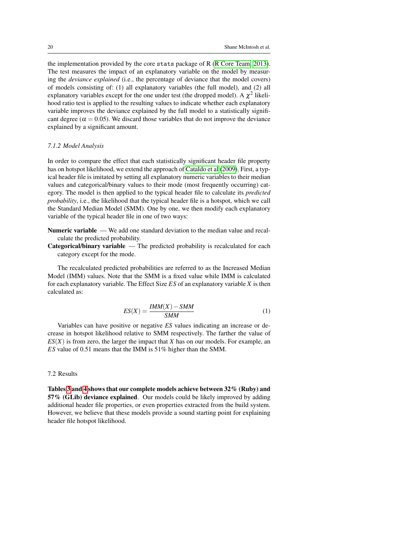the implementation provided by the core stats package of R [\(R Core Team, 2013\)](#page-28-4). The test measures the impact of an explanatory variable on the model by measuring the *deviance explained* (i.e., the percentage of deviance that the model covers) of models consisting of: (1) all explanatory variables (the full model), and (2) all explanatory variables except for the one under test (the dropped model). A  $\chi^2$  likelihood ratio test is applied to the resulting values to indicate whether each explanatory variable improves the deviance explained by the full model to a statistically significant degree ( $\alpha = 0.05$ ). We discard those variables that do not improve the deviance explained by a significant amount.

#### *7.1.2 Model Analysis*

In order to compare the effect that each statistically significant header file property has on hotspot likelihood, we extend the approach of [Cataldo et al](#page-26-4) [\(2009\)](#page-26-4). First, a typical header file is imitated by setting all explanatory numeric variables to their median values and categorical/binary values to their mode (most frequently occurring) category. The model is then applied to the typical header file to calculate its *predicted probability*, i.e., the likelihood that the typical header file is a hotspot, which we call the Standard Median Model (SMM). One by one, we then modify each explanatory variable of the typical header file in one of two ways:

Numeric variable — We add one standard deviation to the median value and recalculate the predicted probability.

Categorical/binary variable — The predicted probability is recalculated for each category except for the mode.

<span id="page-19-0"></span>The recalculated predicted probabilities are referred to as the Increased Median Model (IMM) values. Note that the SMM is a fixed value while IMM is calculated for each explanatory variable. The Effect Size *ES* of an explanatory variable *X* is then calculated as:

$$
ES(X) = \frac{IMM(X) - SMM}{SMM}
$$
 (1)

Variables can have positive or negative *ES* values indicating an increase or decrease in hotspot likelihood relative to SMM respectively. The farther the value of *ES*(*X*) is from zero, the larger the impact that *X* has on our models. For example, an *ES* value of 0.51 means that the IMM is 51% higher than the SMM.

# 7.2 Results

Tables [3](#page-20-0) and [4](#page-20-1) shows that our complete models achieve between 32% (Ruby) and 57% (GLib) deviance explained. Our models could be likely improved by adding additional header file properties, or even properties extracted from the build system. However, we believe that these models provide a sound starting point for explaining header file hotspot likelihood.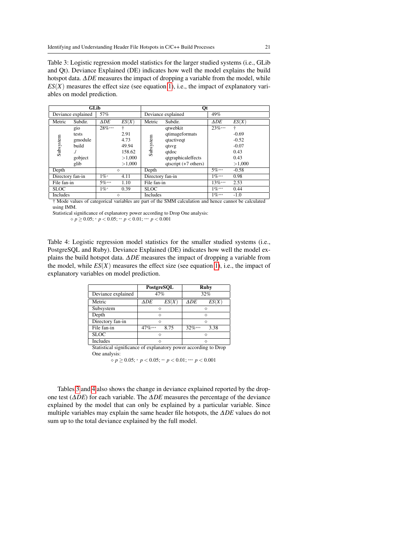<span id="page-20-0"></span>Table 3: Logistic regression model statistics for the larger studied systems (i.e., GLib and Qt). Deviance Explained (DE) indicates how well the model explains the build hotspot data. ∆*DE* measures the impact of dropping a variable from the model, while  $ES(X)$  measures the effect size (see equation [1\)](#page-19-0), i.e., the impact of explanatory variables on model prediction.

| GLib             |                    |                           | Qt     |                  |                        |             |         |
|------------------|--------------------|---------------------------|--------|------------------|------------------------|-------------|---------|
|                  | Deviance explained | 57%<br>Deviance explained |        | 49%              |                        |             |         |
| Metric           | Subdir.            | $\Delta DE$               | ES(X)  | Metric           | Subdir.                | $\Delta DE$ | ES(X)   |
| Subsystem        | gio                | $28\%***$                 | ÷      |                  | qtwebkit               | $23\%***$   | ÷       |
|                  | tests              |                           | 2.91   | Subsystem        | qtimageformats         |             | $-0.69$ |
|                  | gmodule            |                           | 4.73   |                  | qtactiveqt             |             | $-0.52$ |
|                  | build              |                           | 49.94  |                  | qtsvg                  |             | $-0.07$ |
|                  | ./                 |                           | 158.62 |                  | qtdoc                  |             | 0.43    |
|                  | gobject            |                           | >1,000 |                  | qtgraphicaleffects     |             | 0.43    |
|                  | glib               |                           | >1,000 |                  | $qtscript (+7 others)$ |             | >1,000  |
| Depth            |                    |                           | ♦      | Depth            |                        | $5\%***$    | $-0.58$ |
| Directory fan-in |                    | $1\%*$                    | 4.11   | Directory fan-in |                        | $1\%***$    | 0.98    |
| File fan-in      |                    | $5\%***$                  | 1.10   | File fan-in      |                        | $13\%***$   | 2.53    |
| <b>SLOC</b>      |                    | $1\%*$                    | 0.39   | <b>SLOC</b>      |                        | $1\%***$    | 0.44    |
| Includes         |                    |                           | ♦      | Includes         |                        | $1\%***$    | $-1.0$  |

† Mode values of categorical variables are part of the SMM calculation and hence cannot be calculated using IMM.

Statistical significance of explanatory power according to Drop One analysis:

*p* ≥ 0.05; <sup>∗</sup> *p* < 0.05; ∗∗ *p* < 0.01; ∗∗∗ *p* < 0.001

<span id="page-20-1"></span>Table 4: Logistic regression model statistics for the smaller studied systems (i.e., PostgreSQL and Ruby). Deviance Explained (DE) indicates how well the model explains the build hotspot data. ∆*DE* measures the impact of dropping a variable from the model, while  $ES(X)$  measures the effect size (see equation [1\)](#page-19-0), i.e., the impact of explanatory variables on model prediction.

|                                                                 | PostgreSQL |       | Ruby        |       |  |  |
|-----------------------------------------------------------------|------------|-------|-------------|-------|--|--|
| Deviance explained                                              | 47%        |       | 32%         |       |  |  |
| Metric                                                          | ΔDE        | ES(X) | $\Delta DE$ | ES(X) |  |  |
| Subsystem                                                       | ∧          |       | ◇           |       |  |  |
| Depth                                                           | ∧          |       | ∧           |       |  |  |
| Directory fan-in                                                | ♦          |       | ◇           |       |  |  |
| File fan-in                                                     | $47\%***$  | 8.75  | $32\%***$   | 3.38  |  |  |
| <b>SLOC</b>                                                     |            |       |             |       |  |  |
| Includes                                                        | ∧          |       |             |       |  |  |
| Statistical significance of explanatory power according to Drop |            |       |             |       |  |  |

One analysis:

*p* ≥ 0.05; <sup>∗</sup> *p* < 0.05; ∗∗ *p* < 0.01; ∗∗∗ *p* < 0.001

Tables [3](#page-20-0) and [4](#page-20-1) also shows the change in deviance explained reported by the dropone test (∆*DE*) for each variable. The ∆*DE* measures the percentage of the deviance explained by the model that can only be explained by a particular variable. Since multiple variables may explain the same header file hotspots, the ∆*DE* values do not sum up to the total deviance explained by the full model.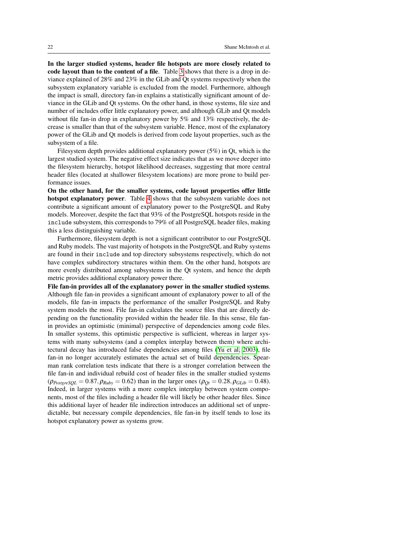In the larger studied systems, header file hotspots are more closely related to code layout than to the content of a file. Table [3](#page-20-0) shows that there is a drop in deviance explained of 28% and 23% in the GLib and Qt systems respectively when the subsystem explanatory variable is excluded from the model. Furthermore, although the impact is small, directory fan-in explains a statistically significant amount of deviance in the GLib and Qt systems. On the other hand, in those systems, file size and number of includes offer little explanatory power, and although GLib and Qt models without file fan-in drop in explanatory power by 5% and 13% respectively, the decrease is smaller than that of the subsystem variable. Hence, most of the explanatory power of the GLib and Qt models is derived from code layout properties, such as the subsystem of a file.

Filesystem depth provides additional explanatory power (5%) in Qt, which is the largest studied system. The negative effect size indicates that as we move deeper into the filesystem hierarchy, hotspot likelihood decreases, suggesting that more central header files (located at shallower filesystem locations) are more prone to build performance issues.

On the other hand, for the smaller systems, code layout properties offer little hotspot explanatory power. Table [4](#page-20-1) shows that the subsystem variable does not contribute a significant amount of explanatory power to the PostgreSQL and Ruby models. Moreover, despite the fact that 93% of the PostgreSQL hotspots reside in the include subsystem, this corresponds to 79% of all PostgreSQL header files, making this a less distinguishing variable.

Furthermore, filesystem depth is not a significant contributor to our PostgreSQL and Ruby models. The vast majority of hotspots in the PostgreSQL and Ruby systems are found in their include and top directory subsystems respectively, which do not have complex subdirectory structures within them. On the other hand, hotspots are more evenly distributed among subsystems in the Qt system, and hence the depth metric provides additional explanatory power there.

File fan-in provides all of the explanatory power in the smaller studied systems. Although file fan-in provides a significant amount of explanatory power to all of the models, file fan-in impacts the performance of the smaller PostgreSQL and Ruby system models the most. File fan-in calculates the source files that are directly depending on the functionality provided within the header file. In this sense, file fanin provides an optimistic (minimal) perspective of dependencies among code files. In smaller systems, this optimistic perspective is sufficient, whereas in larger systems with many subsystems (and a complex interplay between them) where architectural decay has introduced false dependencies among files [\(Yu et al, 2003\)](#page-28-0), file fan-in no longer accurately estimates the actual set of build dependencies. Spearman rank correlation tests indicate that there is a stronger correlation between the file fan-in and individual rebuild cost of header files in the smaller studied systems  $(\rho_{PostgresQL} = 0.87, \rho_{Ruby} = 0.62)$  than in the larger ones  $(\rho_{Qt} = 0.28, \rho_{GLib} = 0.48)$ . Indeed, in larger systems with a more complex interplay between system components, most of the files including a header file will likely be other header files. Since this additional layer of header file indirection introduces an additional set of unpredictable, but necessary compile dependencies, file fan-in by itself tends to lose its hotspot explanatory power as systems grow.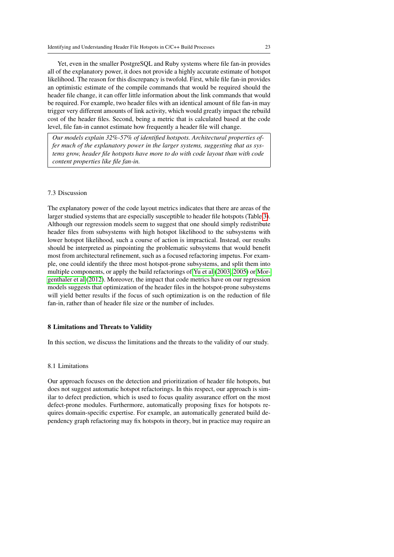Yet, even in the smaller PostgreSQL and Ruby systems where file fan-in provides all of the explanatory power, it does not provide a highly accurate estimate of hotspot likelihood. The reason for this discrepancy is twofold. First, while file fan-in provides an optimistic estimate of the compile commands that would be required should the header file change, it can offer little information about the link commands that would be required. For example, two header files with an identical amount of file fan-in may trigger very different amounts of link activity, which would greatly impact the rebuild cost of the header files. Second, being a metric that is calculated based at the code level, file fan-in cannot estimate how frequently a header file will change.

*Our models explain 32%-57% of identified hotspots. Architectural properties offer much of the explanatory power in the larger systems, suggesting that as systems grow, header file hotspots have more to do with code layout than with code content properties like file fan-in.*

#### 7.3 Discussion

The explanatory power of the code layout metrics indicates that there are areas of the larger studied systems that are especially susceptible to header file hotspots (Table [3\)](#page-20-0). Although our regression models seem to suggest that one should simply redistribute header files from subsystems with high hotspot likelihood to the subsystems with lower hotspot likelihood, such a course of action is impractical. Instead, our results should be interpreted as pinpointing the problematic subsystems that would benefit most from architectural refinement, such as a focused refactoring impetus. For example, one could identify the three most hotspot-prone subsystems, and split them into multiple components, or apply the build refactorings of [Yu et al](#page-28-0) [\(2003,](#page-28-0) [2005\)](#page-28-1) or [Mor](#page-27-10)[genthaler et al](#page-27-10) [\(2012\)](#page-27-10). Moreover, the impact that code metrics have on our regression models suggests that optimization of the header files in the hotspot-prone subsystems will yield better results if the focus of such optimization is on the reduction of file fan-in, rather than of header file size or the number of includes.

### <span id="page-22-0"></span>8 Limitations and Threats to Validity

In this section, we discuss the limitations and the threats to the validity of our study.

#### 8.1 Limitations

Our approach focuses on the detection and prioritization of header file hotspots, but does not suggest automatic hotspot refactorings. In this respect, our approach is similar to defect prediction, which is used to focus quality assurance effort on the most defect-prone modules. Furthermore, automatically proposing fixes for hotspots requires domain-specific expertise. For example, an automatically generated build dependency graph refactoring may fix hotspots in theory, but in practice may require an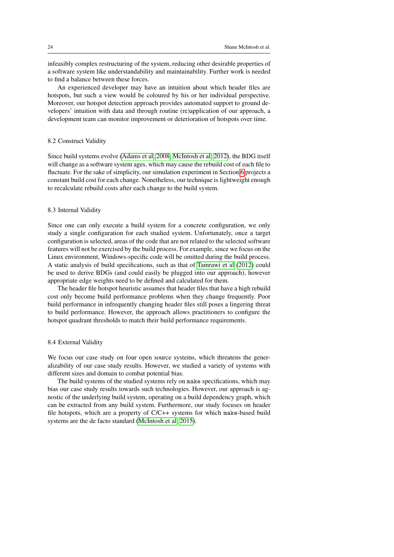infeasibly complex restructuring of the system, reducing other desirable properties of a software system like understandability and maintainability. Further work is needed to find a balance between these forces.

An experienced developer may have an intuition about which header files are hotspots, but such a view would be coloured by his or her individual perspective. Moreover, our hotspot detection approach provides automated support to ground developers' intuition with data and through routine (re)application of our approach, a development team can monitor improvement or deterioration of hotspots over time.

### 8.2 Construct Validity

Since build systems evolve [\(Adams et al, 2008;](#page-26-1) [McIntosh et al, 2012\)](#page-27-11), the BDG itself will change as a software system ages, which may cause the rebuild cost of each file to fluctuate. For the sake of simplicity, our simulation experiment in Section [6](#page-13-0) projects a constant build cost for each change. Nonetheless, our technique is lightweight enough to recalculate rebuild costs after each change to the build system.

### 8.3 Internal Validity

Since one can only execute a build system for a concrete configuration, we only study a single configuration for each studied system. Unfortunately, once a target configuration is selected, areas of the code that are not related to the selected software features will not be exercised by the build process. For example, since we focus on the Linux environment, Windows-specific code will be omitted during the build process. A static analysis of build specifications, such as that of [Tamrawi et al](#page-28-5) [\(2012\)](#page-28-5) could be used to derive BDGs (and could easily be plugged into our approach), however appropriate edge weights need to be defined and calculated for them.

The header file hotspot heuristic assumes that header files that have a high rebuild cost only become build performance problems when they change frequently. Poor build performance in infrequently changing header files still poses a lingering threat to build performance. However, the approach allows practitioners to configure the hotspot quadrant thresholds to match their build performance requirements.

#### 8.4 External Validity

We focus our case study on four open source systems, which threatens the generalizability of our case study results. However, we studied a variety of systems with different sizes and domain to combat potential bias.

The build systems of the studied systems rely on make specifications, which may bias our case study results towards such technologies. However, our approach is agnostic of the underlying build system, operating on a build dependency graph, which can be extracted from any build system. Furthermore, our study focuses on header file hotspots, which are a property of C/C++ systems for which make-based build systems are the de facto standard [\(McIntosh et al, 2015\)](#page-27-6).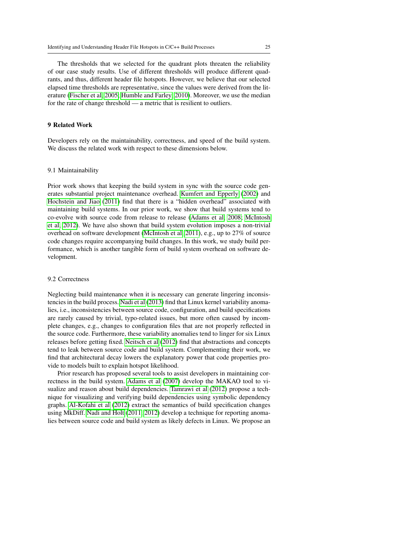The thresholds that we selected for the quadrant plots threaten the reliability of our case study results. Use of different thresholds will produce different quadrants, and thus, different header file hotspots. However, we believe that our selected elapsed time thresholds are representative, since the values were derived from the literature [\(Fischer et al, 2005;](#page-27-7) [Humble and Farley, 2010\)](#page-27-2). Moreover, we use the median for the rate of change threshold — a metric that is resilient to outliers.

#### <span id="page-24-0"></span>9 Related Work

Developers rely on the maintainability, correctness, and speed of the build system. We discuss the related work with respect to these dimensions below.

#### 9.1 Maintainability

Prior work shows that keeping the build system in sync with the source code generates substantial project maintenance overhead. [Kumfert and Epperly](#page-27-12) [\(2002\)](#page-27-12) and [Hochstein and Jiao](#page-27-13) [\(2011\)](#page-27-13) find that there is a "hidden overhead" associated with maintaining build systems. In our prior work, we show that build systems tend to co-evolve with source code from release to release [\(Adams et al, 2008;](#page-26-1) [McIntosh](#page-27-11) [et al, 2012\)](#page-27-11). We have also shown that build system evolution imposes a non-trivial overhead on software development [\(McIntosh et al, 2011\)](#page-27-3), e.g., up to 27% of source code changes require accompanying build changes. In this work, we study build performance, which is another tangible form of build system overhead on software development.

### 9.2 Correctness

Neglecting build maintenance when it is necessary can generate lingering inconsistencies in the build process. [Nadi et al](#page-27-14) [\(2013\)](#page-27-14) find that Linux kernel variability anomalies, i.e., inconsistencies between source code, configuration, and build specifications are rarely caused by trivial, typo-related issues, but more often caused by incomplete changes, e.g., changes to configuration files that are not properly reflected in the source code. Furthermore, these variability anomalies tend to linger for six Linux releases before getting fixed. [Neitsch et al](#page-28-6) [\(2012\)](#page-28-6) find that abstractions and concepts tend to leak between source code and build system. Complementing their work, we find that architectural decay lowers the explanatory power that code properties provide to models built to explain hotspot likelihood.

Prior research has proposed several tools to assist developers in maintaining correctness in the build system. [Adams et al](#page-26-2) [\(2007\)](#page-26-2) develop the MAKAO tool to visualize and reason about build dependencies. [Tamrawi et al](#page-28-5) [\(2012\)](#page-28-5) propose a technique for visualizing and verifying build dependencies using symbolic dependency graphs. [Al-Kofahi et al](#page-26-6) [\(2012\)](#page-26-6) extract the semantics of build specification changes using MkDiff. [Nadi and Holt](#page-27-15) [\(2011,](#page-27-15) [2012\)](#page-27-16) develop a technique for reporting anomalies between source code and build system as likely defects in Linux. We propose an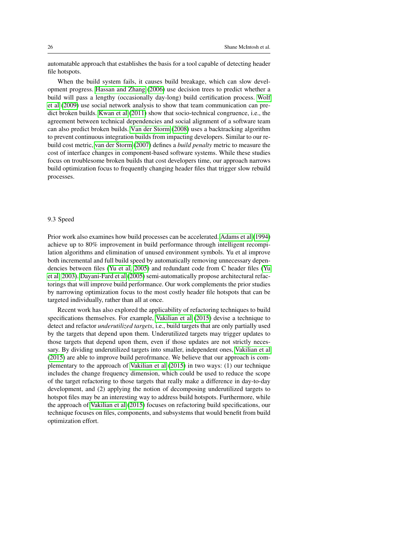automatable approach that establishes the basis for a tool capable of detecting header file hotspots.

When the build system fails, it causes build breakage, which can slow development progress. [Hassan and Zhang](#page-27-1) [\(2006\)](#page-27-1) use decision trees to predict whether a build will pass a lengthy (occasionally day-long) build certification process. [Wolf](#page-28-7) [et al](#page-28-7) [\(2009\)](#page-28-7) use social network analysis to show that team communication can predict broken builds. [Kwan et al](#page-27-17) [\(2011\)](#page-27-17) show that socio-technical congruence, i.e., the agreement between technical dependencies and social alignment of a software team can also predict broken builds. [Van der Storm](#page-28-8) [\(2008\)](#page-28-8) uses a backtracking algorithm to prevent continuous integration builds from impacting developers. Similar to our rebuild cost metric, [van der Storm](#page-28-9) [\(2007\)](#page-28-9) defines a *build penalty* metric to measure the cost of interface changes in component-based software systems. While these studies focus on troublesome broken builds that cost developers time, our approach narrows build optimization focus to frequently changing header files that trigger slow rebuild processes.

#### 9.3 Speed

Prior work also examines how build processes can be accelerated. [Adams et al](#page-26-7) [\(1994\)](#page-26-7) achieve up to 80% improvement in build performance through intelligent recompilation algorithms and elimination of unused environment symbols. Yu et al improve both incremental and full build speed by automatically removing unnecessary dependencies between files [\(Yu et al, 2005\)](#page-28-1) and redundant code from C header files [\(Yu](#page-28-0) [et al, 2003\)](#page-28-0). [Dayani-Fard et al](#page-26-3) [\(2005\)](#page-26-3) semi-automatically propose architectural refactorings that will improve build performance. Our work complements the prior studies by narrowing optimization focus to the most costly header file hotspots that can be targeted individually, rather than all at once.

Recent work has also explored the applicability of refactoring techniques to build specifications themselves. For example, [Vakilian et al](#page-28-10) [\(2015\)](#page-28-10) devise a technique to detect and refactor *underutilized targets*, i.e., build targets that are only partially used by the targets that depend upon them. Underutilized targets may trigger updates to those targets that depend upon them, even if those updates are not strictly necessary. By dividing underutilized targets into smaller, independent ones, [Vakilian et al](#page-28-10) [\(2015\)](#page-28-10) are able to improve build perofrmance. We believe that our approach is complementary to the approach of [Vakilian et al](#page-28-10) [\(2015\)](#page-28-10) in two ways: (1) our technique includes the change frequency dimension, which could be used to reduce the scope of the target refactoring to those targets that really make a difference in day-to-day development, and (2) applying the notion of decomposing underutilized targets to hotspot files may be an interesting way to address build hotspots. Furthermore, while the approach of [Vakilian et al](#page-28-10) [\(2015\)](#page-28-10) focuses on refactoring build specifications, our technique focuses on files, components, and subsystems that would benefit from build optimization effort.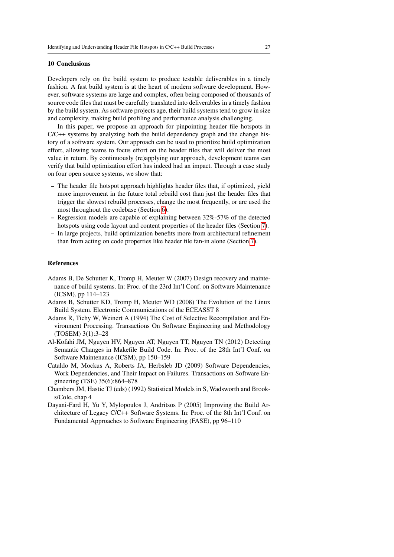### <span id="page-26-0"></span>10 Conclusions

Developers rely on the build system to produce testable deliverables in a timely fashion. A fast build system is at the heart of modern software development. However, software systems are large and complex, often being composed of thousands of source code files that must be carefully translated into deliverables in a timely fashion by the build system. As software projects age, their build systems tend to grow in size and complexity, making build profiling and performance analysis challenging.

In this paper, we propose an approach for pinpointing header file hotspots in C/C++ systems by analyzing both the build dependency graph and the change history of a software system. Our approach can be used to prioritize build optimization effort, allowing teams to focus effort on the header files that will deliver the most value in return. By continuously (re)applying our approach, development teams can verify that build optimization effort has indeed had an impact. Through a case study on four open source systems, we show that:

- The header file hotspot approach highlights header files that, if optimized, yield more improvement in the future total rebuild cost than just the header files that trigger the slowest rebuild processes, change the most frequently, or are used the most throughout the codebase (Section [6\)](#page-13-0).
- Regression models are capable of explaining between 32%-57% of the detected hotspots using code layout and content properties of the header files (Section [7\)](#page-17-0).
- In large projects, build optimization benefits more from architectural refinement than from acting on code properties like header file fan-in alone (Section [7\)](#page-17-0).

#### References

- <span id="page-26-2"></span>Adams B, De Schutter K, Tromp H, Meuter W (2007) Design recovery and maintenance of build systems. In: Proc. of the 23rd Int'l Conf. on Software Maintenance (ICSM), pp 114–123
- <span id="page-26-1"></span>Adams B, Schutter KD, Tromp H, Meuter WD (2008) The Evolution of the Linux Build System. Electronic Communications of the ECEASST 8
- <span id="page-26-7"></span>Adams R, Tichy W, Weinert A (1994) The Cost of Selective Recompilation and Environment Processing. Transactions On Software Engineering and Methodology (TOSEM) 3(1):3–28
- <span id="page-26-6"></span>Al-Kofahi JM, Nguyen HV, Nguyen AT, Nguyen TT, Nguyen TN (2012) Detecting Semantic Changes in Makefile Build Code. In: Proc. of the 28th Int'l Conf. on Software Maintenance (ICSM), pp 150–159
- <span id="page-26-4"></span>Cataldo M, Mockus A, Roberts JA, Herbsleb JD (2009) Software Dependencies, Work Dependencies, and Their Impact on Failures. Transactions on Software Engineering (TSE) 35(6):864–878
- <span id="page-26-5"></span>Chambers JM, Hastie TJ (eds) (1992) Statistical Models in S, Wadsworth and Brooks/Cole, chap 4
- <span id="page-26-3"></span>Dayani-Fard H, Yu Y, Mylopoulos J, Andritsos P (2005) Improving the Build Architecture of Legacy C/C++ Software Systems. In: Proc. of the 8th Int'l Conf. on Fundamental Approaches to Software Engineering (FASE), pp 96–110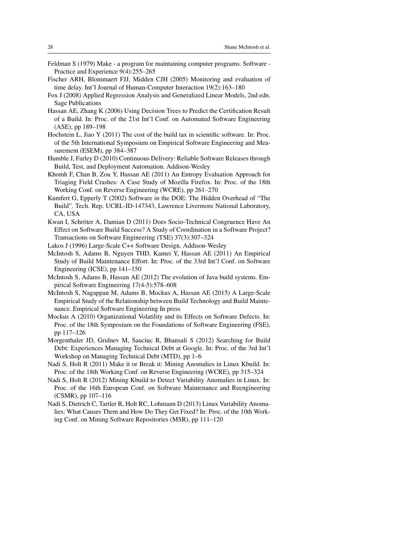- <span id="page-27-0"></span>Feldman S (1979) Make - a program for maintaining computer programs. Software - Practice and Experience 9(4):255–265
- <span id="page-27-7"></span>Fischer ARH, Blommaert FJJ, Midden CJH (2005) Monitoring and evaluation of time delay. Int'l Journal of Human-Computer Interaction 19(2):163–180
- <span id="page-27-9"></span>Fox J (2008) Applied Regression Analysis and Generalized Linear Models, 2nd edn. Sage Publications
- <span id="page-27-1"></span>Hassan AE, Zhang K (2006) Using Decision Trees to Predict the Certification Result of a Build. In: Proc. of the 21st Int'l Conf. on Automated Software Engineering (ASE), pp 189–198
- <span id="page-27-13"></span>Hochstein L, Jiao Y (2011) The cost of the build tax in scientific software. In: Proc. of the 5th International Symposium on Empirical Software Engineering and Measurement (ESEM), pp 384–387
- <span id="page-27-2"></span>Humble J, Farley D (2010) Continuous Delivery: Reliable Software Releases through Build, Test, and Deployment Automation. Addison-Wesley
- <span id="page-27-5"></span>Khomh F, Chan B, Zou Y, Hassan AE (2011) An Entropy Evaluation Approach for Triaging Field Crashes: A Case Study of Mozilla Firefox. In: Proc. of the 18th Working Conf. on Reverse Engineering (WCRE), pp 261–270
- <span id="page-27-12"></span>Kumfert G, Epperly T (2002) Software in the DOE: The Hidden Overhead of "The Build". Tech. Rep. UCRL-ID-147343, Lawrence Livermore National Laboratory, CA, USA
- <span id="page-27-17"></span>Kwan I, Schröter A, Damian D (2011) Does Socio-Technical Congruence Have An Effect on Software Build Success? A Study of Coordination in a Software Project? Transactions on Software Engineering (TSE) 37(3):307–324
- <span id="page-27-4"></span>Lakos J (1996) Large-Scale C++ Software Design. Addison-Wesley
- <span id="page-27-3"></span>McIntosh S, Adams B, Nguyen THD, Kamei Y, Hassan AE (2011) An Empirical Study of Build Maintenance Effort. In: Proc. of the 33rd Int'l Conf. on Software Engineering (ICSE), pp 141–150
- <span id="page-27-11"></span>McIntosh S, Adams B, Hassan AE (2012) The evolution of Java build systems. Empirical Software Engineering 17(4-5):578–608
- <span id="page-27-6"></span>McIntosh S, Nagappan M, Adams B, Mockus A, Hassan AE (2015) A Large-Scale Empirical Study of the Relationship between Build Technology and Build Maintenance. Empirical Software Engineering In press
- <span id="page-27-8"></span>Mockus A (2010) Organizational Volatility and its Effects on Software Defects. In: Proc. of the 18th Symposium on the Foundations of Software Engineering (FSE), pp 117–126
- <span id="page-27-10"></span>Morgenthaler JD, Gridnev M, Sauciuc R, Bhansali S (2012) Searching for Build Debt: Experiences Managing Technical Debt at Google. In: Proc. of the 3rd Int'l Workshop on Managing Technical Debt (MTD), pp 1–6
- <span id="page-27-15"></span>Nadi S, Holt R (2011) Make it or Break it: Mining Anomalies in Linux Kbuild. In: Proc. of the 18th Working Conf. on Reverse Engineering (WCRE), pp 315–324
- <span id="page-27-16"></span>Nadi S, Holt R (2012) Mining Kbuild to Detect Variability Anomalies in Linux. In: Proc. of the 16th European Conf. on Software Maintenance and Reengineering (CSMR), pp 107–116
- <span id="page-27-14"></span>Nadi S, Dietrich C, Tartler R, Holt RC, Lohmann D (2013) Linux Variability Anomalies: What Causes Them and How Do They Get Fixed? In: Proc. of the 10th Working Conf. on Mining Software Repositories (MSR), pp 111–120